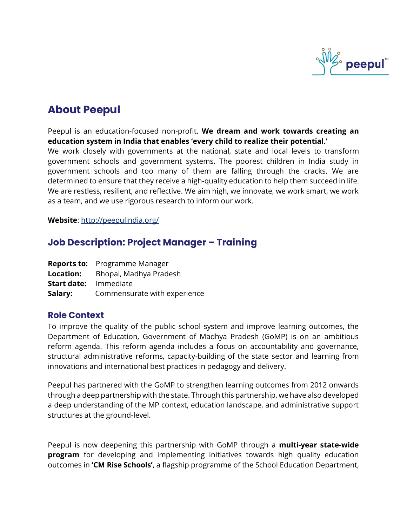

# **About Peepul**

Peepul is an education-focused non-profit. **We dream and work towards creating an education system in India that enables 'every child to realize their potential.'**

We work closely with governments at the national, state and local levels to transform government schools and government systems. The poorest children in India study in government schools and too many of them are falling through the cracks. We are determined to ensure that they receive a high-quality education to help them succeed in life. We are restless, resilient, and reflective. We aim high, we innovate, we work smart, we work as a team, and we use rigorous research to inform our work.

**Website**:<http://peepulindia.org/>

# **Job Description: Project Manager – Training**

|                    | <b>Reports to:</b> Programme Manager |
|--------------------|--------------------------------------|
| Location:          | Bhopal, Madhya Pradesh               |
| <b>Start date:</b> | Immediate                            |
| Salary:            | Commensurate with experience         |

### **Role Context**

To improve the quality of the public school system and improve learning outcomes, the Department of Education, Government of Madhya Pradesh (GoMP) is on an ambitious reform agenda. This reform agenda includes a focus on accountability and governance, structural administrative reforms, capacity-building of the state sector and learning from innovations and international best practices in pedagogy and delivery.

Peepul has partnered with the GoMP to strengthen learning outcomes from 2012 onwards through a deep partnership with the state. Through this partnership, we have also developed a deep understanding of the MP context, education landscape, and administrative support structures at the ground-level.

Peepul is now deepening this partnership with GoMP through a **multi-year state-wide program** for developing and implementing initiatives towards high quality education outcomes in **'CM Rise Schools'**, a flagship programme of the School Education Department,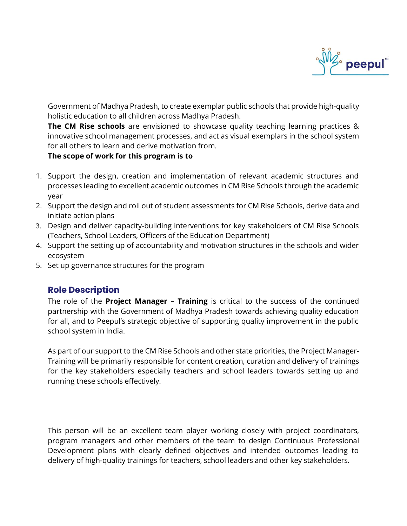

Government of Madhya Pradesh, to create exemplar public schools that provide high-quality holistic education to all children across Madhya Pradesh.

**The CM Rise schools** are envisioned to showcase quality teaching learning practices & innovative school management processes, and act as visual exemplars in the school system for all others to learn and derive motivation from.

#### **The scope of work for this program is to**

- 1. Support the design, creation and implementation of relevant academic structures and processes leading to excellent academic outcomes in CM Rise Schools through the academic year
- 2. Support the design and roll out of student assessments for CM Rise Schools, derive data and initiate action plans
- 3. Design and deliver capacity-building interventions for key stakeholders of CM Rise Schools (Teachers, School Leaders, Officers of the Education Department)
- 4. Support the setting up of accountability and motivation structures in the schools and wider ecosystem
- 5. Set up governance structures for the program

# **Role Description**

The role of the **Project Manager – Training** is critical to the success of the continued partnership with the Government of Madhya Pradesh towards achieving quality education for all, and to Peepul's strategic objective of supporting quality improvement in the public school system in India.

As part of our support to the CM Rise Schools and other state priorities, the Project Manager-Training will be primarily responsible for content creation, curation and delivery of trainings for the key stakeholders especially teachers and school leaders towards setting up and running these schools effectively.

This person will be an excellent team player working closely with project coordinators, program managers and other members of the team to design Continuous Professional Development plans with clearly defined objectives and intended outcomes leading to delivery of high-quality trainings for teachers, school leaders and other key stakeholders.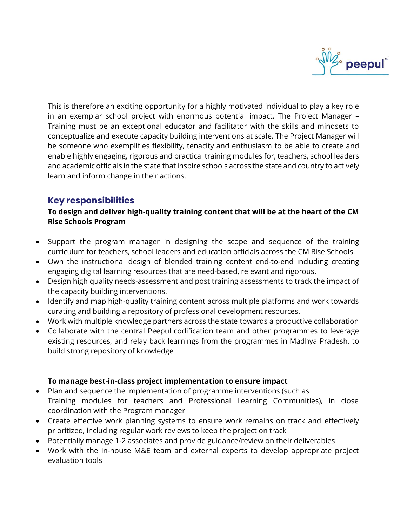

This is therefore an exciting opportunity for a highly motivated individual to play a key role in an exemplar school project with enormous potential impact. The Project Manager – Training must be an exceptional educator and facilitator with the skills and mindsets to conceptualize and execute capacity building interventions at scale. The Project Manager will be someone who exemplifies flexibility, tenacity and enthusiasm to be able to create and enable highly engaging, rigorous and practical training modules for, teachers, school leaders and academic officials in the state that inspire schools across the state and country to actively learn and inform change in their actions.

# **Key responsibilities**

#### **To design and deliver high-quality training content that will be at the heart of the CM Rise Schools Program**

- Support the program manager in designing the scope and sequence of the training curriculum for teachers, school leaders and education officials across the CM Rise Schools.
- Own the instructional design of blended training content end-to-end including creating engaging digital learning resources that are need-based, relevant and rigorous.
- Design high quality needs-assessment and post training assessments to track the impact of the capacity building interventions.
- Identify and map high-quality training content across multiple platforms and work towards curating and building a repository of professional development resources.
- Work with multiple knowledge partners across the state towards a productive collaboration
- Collaborate with the central Peepul codification team and other programmes to leverage existing resources, and relay back learnings from the programmes in Madhya Pradesh, to build strong repository of knowledge

#### **To manage best-in-class project implementation to ensure impact**

- Plan and sequence the implementation of programme interventions (such as Training modules for teachers and Professional Learning Communities), in close coordination with the Program manager
- Create effective work planning systems to ensure work remains on track and effectively prioritized, including regular work reviews to keep the project on track
- Potentially manage 1-2 associates and provide guidance/review on their deliverables
- Work with the in-house M&E team and external experts to develop appropriate project evaluation tools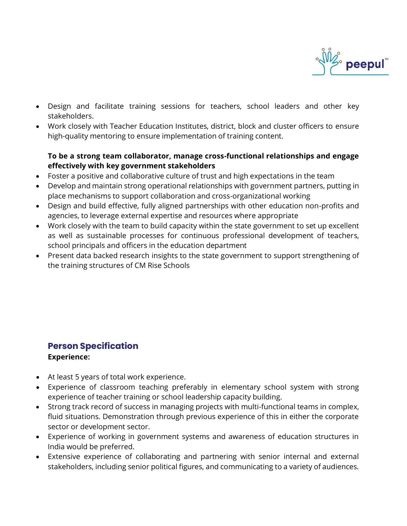

- Design and facilitate training sessions for teachers, school leaders and other key stakeholders.
- Work closely with Teacher Education Institutes, district, block and cluster officers to ensure high-quality mentoring to ensure implementation of training content.

### **To be a strong team collaborator, manage cross-functional relationships and engage effectively with key government stakeholders**

- Foster a positive and collaborative culture of trust and high expectations in the team
- Develop and maintain strong operational relationships with government partners, putting in place mechanisms to support collaboration and cross-organizational working
- Design and build effective, fully aligned partnerships with other education non-profits and agencies, to leverage external expertise and resources where appropriate
- Work closely with the team to build capacity within the state government to set up excellent as well as sustainable processes for continuous professional development of teachers, school principals and officers in the education department
- Present data backed research insights to the state government to support strengthening of the training structures of CM Rise Schools

# **Person Specification Experience:**

- At least 5 years of total work experience.
- Experience of classroom teaching preferably in elementary school system with strong experience of teacher training or school leadership capacity building.
- Strong track record of success in managing projects with multi-functional teams in complex, fluid situations. Demonstration through previous experience of this in either the corporate sector or development sector.
- Experience of working in government systems and awareness of education structures in India would be preferred.
- Extensive experience of collaborating and partnering with senior internal and external stakeholders, including senior political figures, and communicating to a variety of audiences.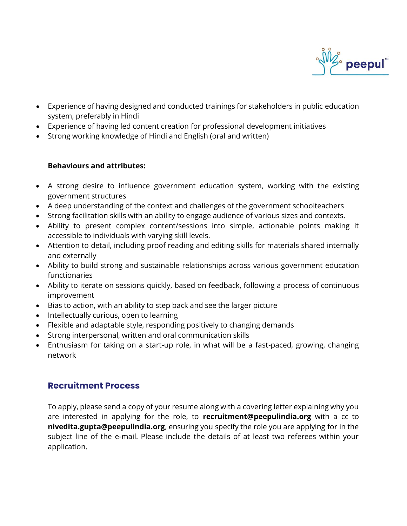

- Experience of having designed and conducted trainings for stakeholders in public education system, preferably in Hindi
- Experience of having led content creation for professional development initiatives
- Strong working knowledge of Hindi and English (oral and written)

#### **Behaviours and attributes:**

- A strong desire to influence government education system, working with the existing government structures
- A deep understanding of the context and challenges of the government schoolteachers
- Strong facilitation skills with an ability to engage audience of various sizes and contexts.
- Ability to present complex content/sessions into simple, actionable points making it accessible to individuals with varying skill levels.
- Attention to detail, including proof reading and editing skills for materials shared internally and externally
- Ability to build strong and sustainable relationships across various government education functionaries
- Ability to iterate on sessions quickly, based on feedback, following a process of continuous improvement
- Bias to action, with an ability to step back and see the larger picture
- Intellectually curious, open to learning
- Flexible and adaptable style, responding positively to changing demands
- Strong interpersonal, written and oral communication skills
- Enthusiasm for taking on a start-up role, in what will be a fast-paced, growing, changing network

# **Recruitment Process**

To apply, please send a copy of your resume along with a covering letter explaining why you are interested in applying for the role, to **recruitment@peepulindia.org** with a cc to **nivedita.gupta@peepulindia.org**, ensuring you specify the role you are applying for in the subject line of the e-mail. Please include the details of at least two referees within your application.